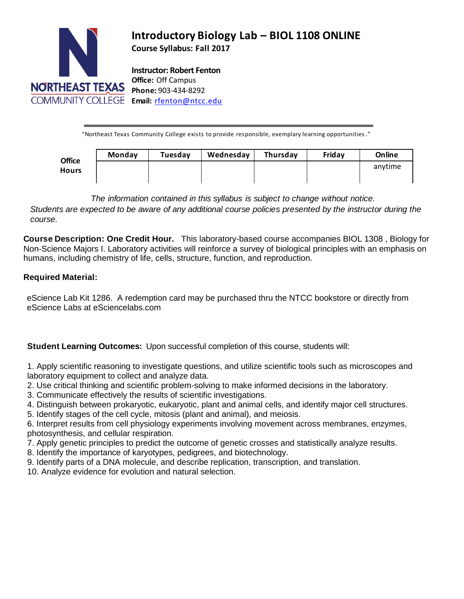

# **Introductory Biology Lab – BIOL 1108 ONLINE**

**Course Syllabus: Fall 2017**

**Instructor: Robert Fenton Office:** Off Campus **Phone:** 903-434-8292

"Northeast Texas Community College exists to provide responsible, exemplary learning opportunities ."

| <b>Office</b><br><b>Hours</b> | Monday | Tuesday | Wednesday | Thursday | Friday | Online  |
|-------------------------------|--------|---------|-----------|----------|--------|---------|
|                               |        |         |           |          |        | anytime |

*The information contained in this syllabus is subject to change without notice.*

Students are expected to be aware of any additional course policies presented by the instructor during the *course.*

**Course Description: One Credit Hour.** This laboratory-based course accompanies [BIOL 1308](http://catalog.ntcc.edu/content.php?catoid=6&catoid=6&navoid=894&filter%5Bitem_type%5D=3&filter%5Bonly_active%5D=1&filter%5B3%5D=1&filter%5Bcpage%5D=2#tt7664) , Biology for Non-Science Majors I. Laboratory activities will reinforce a survey of biological principles with an emphasis on humans, including chemistry of life, cells, structure, function, and reproduction.

## **Required Material:**

eScience Lab Kit 1286. A redemption card may be purchased thru the NTCC bookstore or directly from eScience Labs at eSciencelabs.com

**Student Learning Outcomes:** Upon successful completion of this course, students will:

1. Apply scientific reasoning to investigate questions, and utilize scientific tools such as microscopes and laboratory equipment to collect and analyze data.

- 2. Use critical thinking and scientific problem-solving to make informed decisions in the laboratory.
- 3. Communicate effectively the results of scientific investigations.
- 4. Distinguish between prokaryotic, eukaryotic, plant and animal cells, and identify major cell structures.
- 5. Identify stages of the cell cycle, mitosis (plant and animal), and meiosis.

6. Interpret results from cell physiology experiments involving movement across membranes, enzymes, photosynthesis, and cellular respiration.

7. Apply genetic principles to predict the outcome of genetic crosses and statistically analyze results.

- 8. Identify the importance of karyotypes, pedigrees, and biotechnology.
- 9. Identify parts of a DNA molecule, and describe replication, transcription, and translation.

10. Analyze evidence for evolution and natural selection.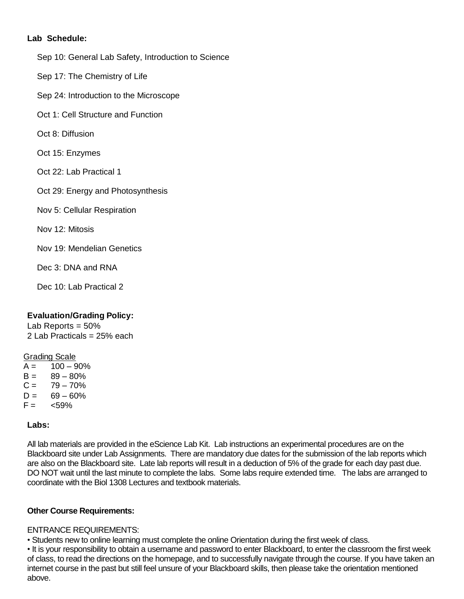#### **Lab Schedule:**

- Sep 10: [General Lab Safety,](http://esciencelabs.com/studentresource/general-lab-safety-0) [Introduction to Science](http://esciencelabs.com/studentresource/introduction-science-5)
- Sep 17: [The Chemistry of Life](http://esciencelabs.com/studentresource/chemistry-life-3)
- Sep 24: [Introduction to the Microscope](http://esciencelabs.com/studentresource/introduction-microscope-2)
- Oct 1: [Cell Structure and Function](http://esciencelabs.com/studentresource/cell-structure-and-function-8)
- Oct 8: [Diffusion](http://esciencelabs.com/studentresource/diffusion-2)
- Oct 15: [Enzymes](http://esciencelabs.com/studentresource/enzymes-1)
- Oct 22: Lab Practical 1
- Oct 29: Energy and Photosynthesis
- Nov 5: [Cellular Respiration](http://esciencelabs.com/studentresource/cellular-respiration-0)
- Nov 12: [Mitosis](http://esciencelabs.com/studentresource/mitosis-0)
- Nov 19: [Mendelian Genetics](http://esciencelabs.com/studentresource/mendelian-genetics-2)
- Dec 3: [DNA and RNA](http://esciencelabs.com/studentresource/dna-and-rna-0)
- Dec 10: Lab Practical 2

## **Evaluation/Grading Policy:**

Lab Reports  $= 50\%$ 2 Lab Practicals = 25% each

#### Grading Scale

 $A = 100 - 90%$  $B = 89 - 80%$  $C = 79 - 70\%$  $D = 69 - 60\%$  $F = \frac{59\%}{100}$ 

#### **Labs:**

All lab materials are provided in the eScience Lab Kit. Lab instructions an experimental procedures are on the Blackboard site under Lab Assignments. There are mandatory due dates for the submission of the lab reports which are also on the Blackboard site. Late lab reports will result in a deduction of 5% of the grade for each day past due. DO NOT wait until the last minute to complete the labs. Some labs require extended time. The labs are arranged to coordinate with the Biol 1308 Lectures and textbook materials.

#### **Other Course Requirements:**

#### ENTRANCE REQUIREMENTS:

• Students new to online learning must complete the online Orientation during the first week of class.

• It is your responsibility to obtain a username and password to enter Blackboard, to enter the classroom the first week of class, to read the directions on the homepage, and to successfully navigate through the course. If you have taken an internet course in the past but still feel unsure of your Blackboard skills, then please take the orientation mentioned above.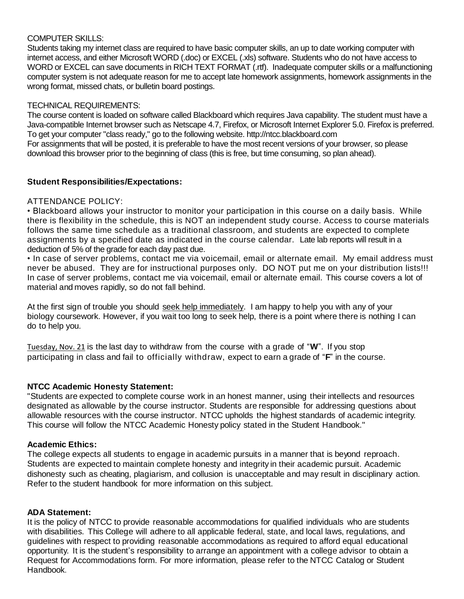## COMPUTER SKILLS:

Students taking my internet class are required to have basic computer skills, an up to date working computer with internet access, and either Microsoft WORD (.doc) or EXCEL (.xls) software. Students who do not have access to WORD or EXCEL can save documents in RICH TEXT FORMAT (.rtf). Inadequate computer skills or a malfunctioning computer system is not adequate reason for me to accept late homework assignments, homework assignments in the wrong format, missed chats, or bulletin board postings.

## TECHNICAL REQUIREMENTS:

The course content is loaded on software called Blackboard which requires Java capability. The student must have a Java-compatible Internet browser such as Netscape 4.7, Firefox, or Microsoft Internet Explorer 5.0. Firefox is preferred. To get your computer "class ready," go to the following website. http://ntcc.blackboard.com For assignments that will be posted, it is preferable to have the most recent versions of your browser, so please download this browser prior to the beginning of class (this is free, but time consuming, so plan ahead).

## **Student Responsibilities/Expectations:**

## ATTENDANCE POLICY:

• Blackboard allows your instructor to monitor your participation in this course on a daily basis. While there is flexibility in the schedule, this is NOT an independent study course. Access to course materials follows the same time schedule as a traditional classroom, and students are expected to complete assignments by a specified date as indicated in the course calendar. Late lab reports will result in a deduction of 5% of the grade for each day past due.

• In case of server problems, contact me via voicemail, email or alternate email. My email address must never be abused. They are for instructional purposes only. DO NOT put me on your distribution lists!!! In case of server problems, contact me via voicemail, email or alternate email. This course covers a lot of material and moves rapidly, so do not fall behind.

At the first sign of trouble you should seek help immediately. I am happy to help you with any of your biology coursework. However, if you wait too long to seek help, there is a point where there is nothing I can do to help you.

Tuesday, Nov. 21 is the last day to withdraw from the course with a grade of "**W**". If you stop participating in class and fail to officially withdraw, expect to earn a grade of "**F**" in the course.

## **NTCC Academic Honesty Statement:**

"Students are expected to complete course work in an honest manner, using their intellects and resources designated as allowable by the course instructor. Students are responsible for addressing questions about allowable resources with the course instructor. NTCC upholds the highest standards of academic integrity. This course will follow the NTCC Academic Honesty policy stated in the Student Handbook."

#### **Academic Ethics:**

The college expects all students to engage in academic pursuits in a manner that is beyond reproach. Students are expected to maintain complete honesty and integrity in their academic pursuit. Academic dishonesty such as cheating, plagiarism, and collusion is unacceptable and may result in disciplinary action. Refer to the student handbook for more information on this subject.

#### **ADA Statement:**

It is the policy of NTCC to provide reasonable accommodations for qualified individuals who are students with disabilities. This College will adhere to all applicable federal, state, and local laws, regulations, and guidelines with respect to providing reasonable accommodations as required to afford equal educational opportunity. It is the student's responsibility to arrange an appointment with a college advisor to obtain a Request for Accommodations form. For more information, please refer to the NTCC Catalog or Student Handbook.